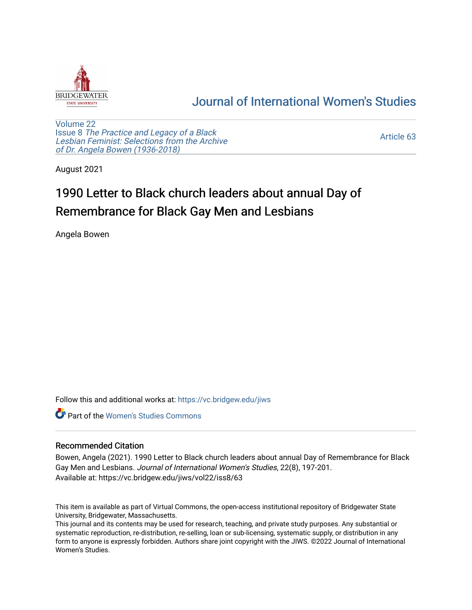

## [Journal of International Women's Studies](https://vc.bridgew.edu/jiws)

[Volume 22](https://vc.bridgew.edu/jiws/vol22) Issue 8 [The Practice and Legacy of a Black](https://vc.bridgew.edu/jiws/vol22/iss8)  [Lesbian Feminist: Selections from the Archive](https://vc.bridgew.edu/jiws/vol22/iss8)  [of Dr. Angela Bowen \(1936-2018\)](https://vc.bridgew.edu/jiws/vol22/iss8)

[Article 63](https://vc.bridgew.edu/jiws/vol22/iss8/63) 

August 2021

# 1990 Letter to Black church leaders about annual Day of Remembrance for Black Gay Men and Lesbians

Angela Bowen

Follow this and additional works at: [https://vc.bridgew.edu/jiws](https://vc.bridgew.edu/jiws?utm_source=vc.bridgew.edu%2Fjiws%2Fvol22%2Fiss8%2F63&utm_medium=PDF&utm_campaign=PDFCoverPages)

**C** Part of the Women's Studies Commons

### Recommended Citation

Bowen, Angela (2021). 1990 Letter to Black church leaders about annual Day of Remembrance for Black Gay Men and Lesbians. Journal of International Women's Studies, 22(8), 197-201. Available at: https://vc.bridgew.edu/jiws/vol22/iss8/63

This item is available as part of Virtual Commons, the open-access institutional repository of Bridgewater State University, Bridgewater, Massachusetts.

This journal and its contents may be used for research, teaching, and private study purposes. Any substantial or systematic reproduction, re-distribution, re-selling, loan or sub-licensing, systematic supply, or distribution in any form to anyone is expressly forbidden. Authors share joint copyright with the JIWS. ©2022 Journal of International Women's Studies.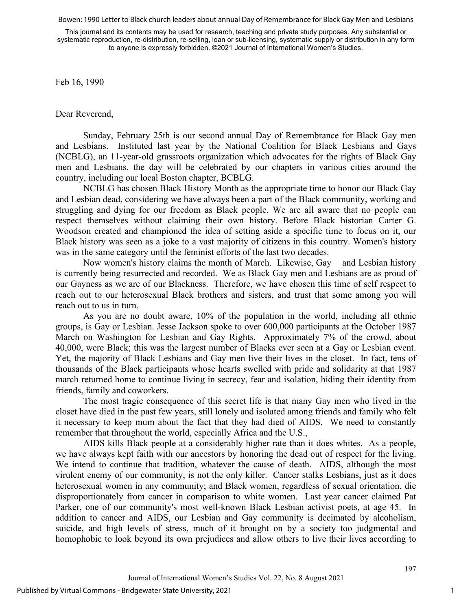Bowen: 1990 Letter to Black church leaders about annual Day of Remembrance for Black Gay Men and Lesbians

This journal and its contents may be used for research, teaching and private study purposes. Any substantial or systematic reproduction, re-distribution, re-selling, loan or sub-licensing, systematic supply or distribution in any form to anyone is expressly forbidden. ©2021 Journal of International Women's Studies.

Feb 16, 1990

Dear Reverend,

Sunday, February 25th is our second annual Day of Remembrance for Black Gay men and Lesbians. Instituted last year by the National Coalition for Black Lesbians and Gays (NCBLG), an 11-year-old grassroots organization which advocates for the rights of Black Gay men and Lesbians, the day will be celebrated by our chapters in various cities around the country, including our local Boston chapter, BCBLG.

NCBLG has chosen Black History Month as the appropriate time to honor our Black Gay and Lesbian dead, considering we have always been a part of the Black community, working and struggling and dying for our freedom as Black people. We are all aware that no people can respect themselves without claiming their own history. Before Black historian Carter G. Woodson created and championed the idea of setting aside a specific time to focus on it, our Black history was seen as a joke to a vast majority of citizens in this country. Women's history was in the same category until the feminist efforts of the last two decades.

Now women's history claims the month of March. Likewise, Gay and Lesbian history is currently being resurrected and recorded. We as Black Gay men and Lesbians are as proud of our Gayness as we are of our Blackness. Therefore, we have chosen this time of self respect to reach out to our heterosexual Black brothers and sisters, and trust that some among you will reach out to us in turn.

As you are no doubt aware, 10% of the population in the world, including all ethnic groups, is Gay or Lesbian. Jesse Jackson spoke to over 600,000 participants at the October 1987 March on Washington for Lesbian and Gay Rights. Approximately 7% of the crowd, about 40,000, were Black; this was the largest number of Blacks ever seen at a Gay or Lesbian event. Yet, the majority of Black Lesbians and Gay men live their lives in the closet. In fact, tens of thousands of the Black participants whose hearts swelled with pride and solidarity at that 1987 march returned home to continue living in secrecy, fear and isolation, hiding their identity from friends, family and coworkers.

The most tragic consequence of this secret life is that many Gay men who lived in the closet have died in the past few years, still lonely and isolated among friends and family who felt it necessary to keep mum about the fact that they had died of AIDS. We need to constantly remember that throughout the world, especially Africa and the U.S.,

AIDS kills Black people at a considerably higher rate than it does whites. As a people, we have always kept faith with our ancestors by honoring the dead out of respect for the living. We intend to continue that tradition, whatever the cause of death. AIDS, although the most virulent enemy of our community, is not the only killer. Cancer stalks Lesbians, just as it does heterosexual women in any community; and Black women, regardless of sexual orientation, die disproportionately from cancer in comparison to white women. Last year cancer claimed Pat Parker, one of our community's most well-known Black Lesbian activist poets, at age 45. In addition to cancer and AIDS, our Lesbian and Gay community is decimated by alcoholism, suicide, and high levels of stress, much of it brought on by a society too judgmental and homophobic to look beyond its own prejudices and allow others to live their lives according to

1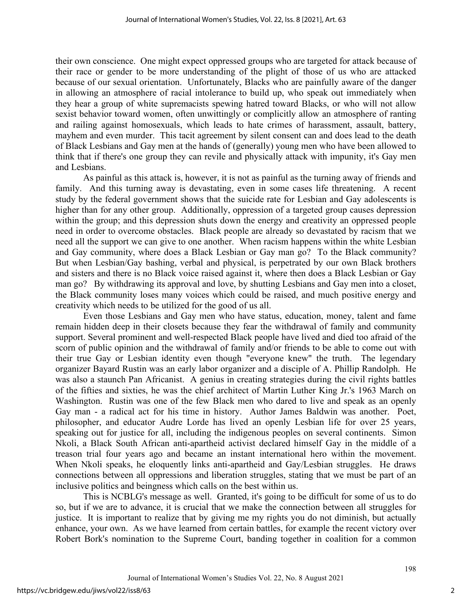their own conscience. One might expect oppressed groups who are targeted for attack because of their race or gender to be more understanding of the plight of those of us who are attacked because of our sexual orientation. Unfortunately, Blacks who are painfully aware of the danger in allowing an atmosphere of racial intolerance to build up, who speak out immediately when they hear a group of white supremacists spewing hatred toward Blacks, or who will not allow sexist behavior toward women, often unwittingly or complicitly allow an atmosphere of ranting and railing against homosexuals, which leads to hate crimes of harassment, assault, battery, mayhem and even murder. This tacit agreement by silent consent can and does lead to the death of Black Lesbians and Gay men at the hands of (generally) young men who have been allowed to think that if there's one group they can revile and physically attack with impunity, it's Gay men and Lesbians.

As painful as this attack is, however, it is not as painful as the turning away of friends and family. And this turning away is devastating, even in some cases life threatening. A recent study by the federal government shows that the suicide rate for Lesbian and Gay adolescents is higher than for any other group. Additionally, oppression of a targeted group causes depression within the group; and this depression shuts down the energy and creativity an oppressed people need in order to overcome obstacles. Black people are already so devastated by racism that we need all the support we can give to one another. When racism happens within the white Lesbian and Gay community, where does a Black Lesbian or Gay man go? To the Black community? But when Lesbian/Gay bashing, verbal and physical, is perpetrated by our own Black brothers and sisters and there is no Black voice raised against it, where then does a Black Lesbian or Gay man go? By withdrawing its approval and love, by shutting Lesbians and Gay men into a closet, the Black community loses many voices which could be raised, and much positive energy and creativity which needs to be utilized for the good of us all.

Even those Lesbians and Gay men who have status, education, money, talent and fame remain hidden deep in their closets because they fear the withdrawal of family and community support. Several prominent and well-respected Black people have lived and died too afraid of the scorn of public opinion and the withdrawal of family and/or friends to be able to come out with their true Gay or Lesbian identity even though "everyone knew" the truth. The legendary organizer Bayard Rustin was an early labor organizer and a disciple of A. Phillip Randolph. He was also a staunch Pan Africanist. A genius in creating strategies during the civil rights battles of the fifties and sixties, he was the chief architect of Martin Luther King Jr.'s 1963 March on Washington. Rustin was one of the few Black men who dared to live and speak as an openly Gay man - a radical act for his time in history. Author James Baldwin was another. Poet, philosopher, and educator Audre Lorde has lived an openly Lesbian life for over 25 years, speaking out for justice for all, including the indigenous peoples on several continents. Simon Nkoli, a Black South African anti-apartheid activist declared himself Gay in the middle of a treason trial four years ago and became an instant international hero within the movement. When Nkoli speaks, he eloquently links anti-apartheid and Gay/Lesbian struggles. He draws connections between all oppressions and liberation struggles, stating that we must be part of an inclusive politics and beingness which calls on the best within us.

This is NCBLG's message as well. Granted, it's going to be difficult for some of us to do so, but if we are to advance, it is crucial that we make the connection between all struggles for justice. It is important to realize that by giving me my rights you do not diminish, but actually enhance, your own. As we have learned from certain battles, for example the recent victory over Robert Bork's nomination to the Supreme Court, banding together in coalition for a common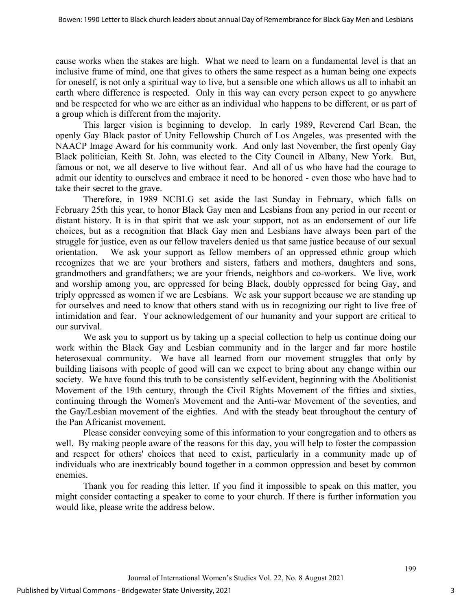cause works when the stakes are high. What we need to learn on a fundamental level is that an inclusive frame of mind, one that gives to others the same respect as a human being one expects for oneself, is not only a spiritual way to live, but a sensible one which allows us all to inhabit an earth where difference is respected. Only in this way can every person expect to go anywhere and be respected for who we are either as an individual who happens to be different, or as part of a group which is different from the majority.

This larger vision is beginning to develop. In early 1989, Reverend Carl Bean, the openly Gay Black pastor of Unity Fellowship Church of Los Angeles, was presented with the NAACP Image Award for his community work. And only last November, the first openly Gay Black politician, Keith St. John, was elected to the City Council in Albany, New York. But, famous or not, we all deserve to live without fear. And all of us who have had the courage to admit our identity to ourselves and embrace it need to be honored - even those who have had to take their secret to the grave.

Therefore, in 1989 NCBLG set aside the last Sunday in February, which falls on February 25th this year, to honor Black Gay men and Lesbians from any period in our recent or distant history. It is in that spirit that we ask your support, not as an endorsement of our life choices, but as a recognition that Black Gay men and Lesbians have always been part of the struggle for justice, even as our fellow travelers denied us that same justice because of our sexual orientation. We ask your support as fellow members of an oppressed ethnic group which recognizes that we are your brothers and sisters, fathers and mothers, daughters and sons, grandmothers and grandfathers; we are your friends, neighbors and co-workers. We live, work and worship among you, are oppressed for being Black, doubly oppressed for being Gay, and triply oppressed as women if we are Lesbians. We ask your support because we are standing up for ourselves and need to know that others stand with us in recognizing our right to live free of intimidation and fear. Your acknowledgement of our humanity and your support are critical to our survival.

We ask you to support us by taking up a special collection to help us continue doing our work within the Black Gay and Lesbian community and in the larger and far more hostile heterosexual community. We have all learned from our movement struggles that only by building liaisons with people of good will can we expect to bring about any change within our society. We have found this truth to be consistently self-evident, beginning with the Abolitionist Movement of the 19th century, through the Civil Rights Movement of the fifties and sixties, continuing through the Women's Movement and the Anti-war Movement of the seventies, and the Gay/Lesbian movement of the eighties. And with the steady beat throughout the century of the Pan Africanist movement.

Please consider conveying some of this information to your congregation and to others as well. By making people aware of the reasons for this day, you will help to foster the compassion and respect for others' choices that need to exist, particularly in a community made up of individuals who are inextricably bound together in a common oppression and beset by common enemies.

Thank you for reading this letter. If you find it impossible to speak on this matter, you might consider contacting a speaker to come to your church. If there is further information you would like, please write the address below.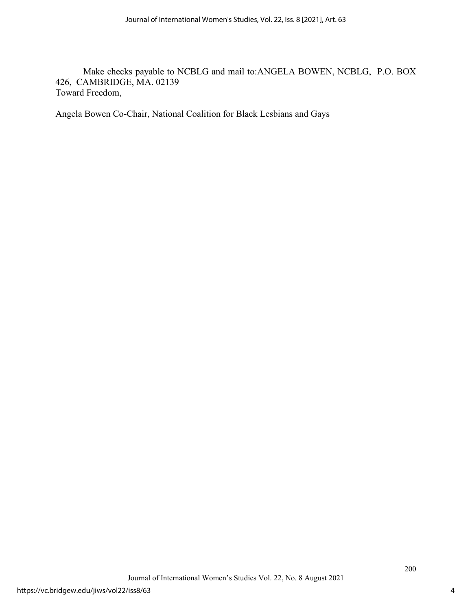Make checks payable to NCBLG and mail to:ANGELA BOWEN, NCBLG, P.O. BOX 426, CAMBRIDGE, MA. 02139 Toward Freedom,

Angela Bowen Co-Chair, National Coalition for Black Lesbians and Gays